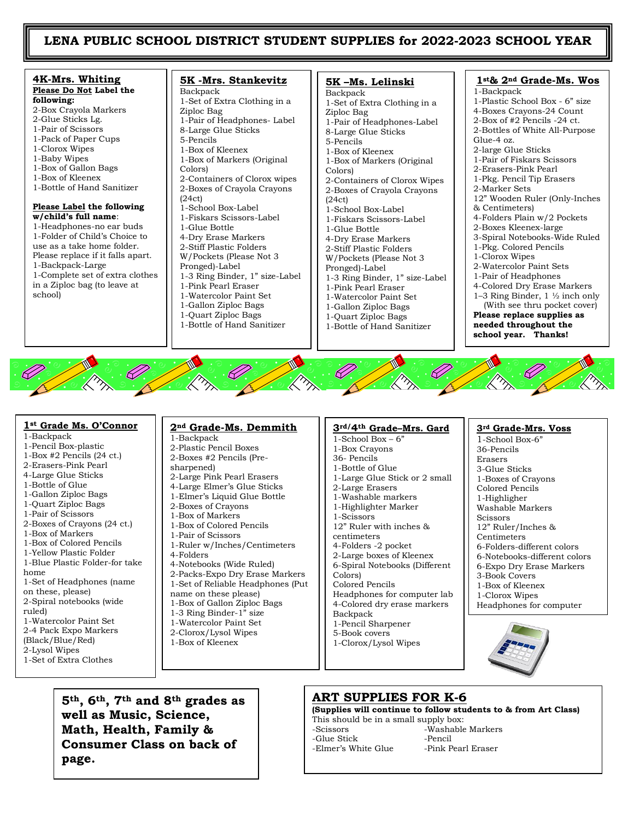## **LENA PUBLIC SCHOOL DISTRICT STUDENT SUPPLIES for 2022-2023 SCHOOL YEAR**

| 4K-Mrs. Whiting<br>Please Do Not Label the<br>following:<br>2-Box Crayola Markers<br>2-Glue Sticks Lg.<br>1-Pair of Scissors<br>1-Pack of Paper Cups<br>1-Clorox Wipes<br>1-Baby Wipes<br>1-Box of Gallon Bags<br>1-Box of Kleenex<br>1-Bottle of Hand Sanitizer<br>Please Label the following<br>w/child's full name:<br>1-Headphones-no ear buds<br>1-Folder of Child's Choice to<br>use as a take home folder.<br>Please replace if it falls apart.<br>1-Backpack-Large<br>1-Complete set of extra clothes<br>in a Ziploc bag (to leave at<br>school) | 5K - Mrs. Stankevitz<br>Backpack<br>1-Set of Extra Clothing in a<br>Ziploc Bag<br>1-Pair of Headphones- Label<br>8-Large Glue Sticks<br>5-Pencils<br>1-Box of Kleenex<br>1-Box of Markers (Original<br>Colors)<br>2-Containers of Clorox wipes<br>2-Boxes of Crayola Crayons<br>(24ct)<br>1-School Box-Label<br>1-Fiskars Scissors-Label<br>1-Glue Bottle<br>4-Dry Erase Markers<br>2-Stiff Plastic Folders<br>W/Pockets (Please Not 3)<br>Pronged)-Label<br>1-3 Ring Binder, 1" size-Label<br>1-Pink Pearl Eraser<br>1-Watercolor Paint Set<br>1-Gallon Ziploc Bags<br>1-Quart Ziploc Bags<br>1-Bottle of Hand Sanitizer | 5K –Ms. Lelinski<br>Backpack<br>1-Set of Extra Clothing in a<br>Ziploc Bag<br>1-Pair of Headphones-Label<br>8-Large Glue Sticks<br>5-Pencils<br>1-Box of Kleenex<br>1-Box of Markers (Original<br>Colors)<br>2-Containers of Clorox Wipes<br>2-Boxes of Crayola Crayons<br>(24ct)<br>1-School Box-Label<br>1-Fiskars Scissors-Label<br>1-Glue Bottle<br>4-Dry Erase Markers<br>2-Stiff Plastic Folders<br>W/Pockets (Please Not 3)<br>Pronged)-Label<br>1-3 Ring Binder, 1" size-Label<br>1-Pink Pearl Eraser<br>1-Watercolor Paint Set<br>1-Gallon Ziploc Bags<br>1-Quart Ziploc Bags<br>1-Bottle of Hand Sanitizer | $1st$ & $2nd$ Grade-Ms. Wos<br>1-Backpack<br>1-Plastic School Box - 6" size<br>4-Boxes Crayons-24 Count<br>$2$ -Box of #2 Pencils $-24$ ct.<br>2-Bottles of White All-Purpose<br>Glue-4 oz.<br>2-large Glue Sticks<br>1-Pair of Fiskars Scissors<br>2-Erasers-Pink Pearl<br>1-Pkg. Pencil Tip Erasers<br>2-Marker Sets<br>12" Wooden Ruler (Only-Inches<br>& Centimeters)<br>4-Folders Plain w/2 Pockets<br>2-Boxes Kleenex-large<br>3-Spiral Notebooks-Wide Ruled<br>1-Pkg. Colored Pencils<br>1-Clorox Wipes<br>2-Watercolor Paint Sets<br>1-Pair of Headphones<br>4-Colored Dry Erase Markers<br>1–3 Ring Binder, $1 \frac{1}{2}$ inch only<br>(With see thru pocket cover)<br>Please replace supplies as<br>needed throughout the<br>school year. Thanks! |
|----------------------------------------------------------------------------------------------------------------------------------------------------------------------------------------------------------------------------------------------------------------------------------------------------------------------------------------------------------------------------------------------------------------------------------------------------------------------------------------------------------------------------------------------------------|---------------------------------------------------------------------------------------------------------------------------------------------------------------------------------------------------------------------------------------------------------------------------------------------------------------------------------------------------------------------------------------------------------------------------------------------------------------------------------------------------------------------------------------------------------------------------------------------------------------------------|----------------------------------------------------------------------------------------------------------------------------------------------------------------------------------------------------------------------------------------------------------------------------------------------------------------------------------------------------------------------------------------------------------------------------------------------------------------------------------------------------------------------------------------------------------------------------------------------------------------------|---------------------------------------------------------------------------------------------------------------------------------------------------------------------------------------------------------------------------------------------------------------------------------------------------------------------------------------------------------------------------------------------------------------------------------------------------------------------------------------------------------------------------------------------------------------------------------------------------------------------------------------------------------------------------------------------------------------------------------------------------------------|
|----------------------------------------------------------------------------------------------------------------------------------------------------------------------------------------------------------------------------------------------------------------------------------------------------------------------------------------------------------------------------------------------------------------------------------------------------------------------------------------------------------------------------------------------------------|---------------------------------------------------------------------------------------------------------------------------------------------------------------------------------------------------------------------------------------------------------------------------------------------------------------------------------------------------------------------------------------------------------------------------------------------------------------------------------------------------------------------------------------------------------------------------------------------------------------------------|----------------------------------------------------------------------------------------------------------------------------------------------------------------------------------------------------------------------------------------------------------------------------------------------------------------------------------------------------------------------------------------------------------------------------------------------------------------------------------------------------------------------------------------------------------------------------------------------------------------------|---------------------------------------------------------------------------------------------------------------------------------------------------------------------------------------------------------------------------------------------------------------------------------------------------------------------------------------------------------------------------------------------------------------------------------------------------------------------------------------------------------------------------------------------------------------------------------------------------------------------------------------------------------------------------------------------------------------------------------------------------------------|

### **1st Grade Ms. O'Connor**

- 1-Backpack
- 1-Pencil Box-plastic
- 1-Box #2 Pencils (24 ct.)
- 2-Erasers-Pink Pearl
- 4-Large Glue Sticks
- 1-Bottle of Glue
- 1-Gallon Ziploc Bags
- 1-Quart Ziploc Bags
- 1-Pair of Scissors
- 2-Boxes of Crayons (24 ct.)
- 1-Box of Markers
- 1-Box of Colored Pencils
- 1-Yellow Plastic Folder
- 1-Blue Plastic Folder-for take home
- 1-Set of Headphones (name
- on these, please)
- 2-Spiral notebooks (wide
- ruled) 1-Watercolor Paint Set
- 2-4 Pack Expo Markers
- (Black/Blue/Red)
- 2-Lysol Wipes
- 1-Set of Extra Clothes

#### **2nd Grade-Ms. Demmith** 1-Backpack

- 2-Plastic Pencil Boxes
- 2-Boxes #2 Pencils (Pre-
- sharpened)
- 2-Large Pink Pearl Erasers
- 4-Large Elmer's Glue Sticks
- 1-Elmer's Liquid Glue Bottle 2-Boxes of Crayons
- 1-Box of Markers
- 1-Box of Colored Pencils
- 1-Pair of Scissors
- 1-Ruler w/Inches/Centimeters
- 4-Folders
- 4-Notebooks (Wide Ruled)
- 2-Packs-Expo Dry Erase Markers 1-Set of Reliable Headphones (Put name on these please)
- 1-Box of Gallon Ziploc Bags
- 1-3 Ring Binder-1" size
- 1-Watercolor Paint Set
- 2-Clorox/Lysol Wipes
- 1-Box of Kleenex
- 

## **3rd/4th Grade–Mrs. Gard**

- $1$ -School Box  $6"$ 1-Box Crayons 36- Pencils 1-Bottle of Glue 1-Large Glue Stick or 2 small 2-Large Erasers 1-Washable markers 1-Highlighter Marker 1-Scissors 12" Ruler with inches & centimeters 4-Folders -2 pocket 2-Large boxes of Kleenex 6-Spiral Notebooks (Different Colors) Colored Pencils Headphones for computer lab 4-Colored dry erase markers Backpack 1-Pencil Sharpener
- 5-Book covers
- 1-Clorox/Lysol Wipes

#### **3rd Grade-Mrs. Voss** 1-School Box-6" 36-Pencils

Erasers 3-Glue Sticks 1-Boxes of Crayons Colored Pencils 1-Highligher Washable Markers Scissors 12" Ruler/Inches & Centimeters 6-Folders-different colors 6-Notebooks-different colors 6-Expo Dry Erase Markers 3-Book Covers 1-Box of Kleenex 1-Clorox Wipes Headphones for computer



**5th, 6th, 7th and 8th grades as well as Music, Science, Math, Health, Family & Consumer Class on back of page.**

## **ART SUPPLIES FOR K-6**

**(Supplies will continue to follow students to & from Art Class)** This should be in a small supply box: -Scissors -Washable Markers -Glue Stick -Elmer's White Glue -Pink Pearl Eraser